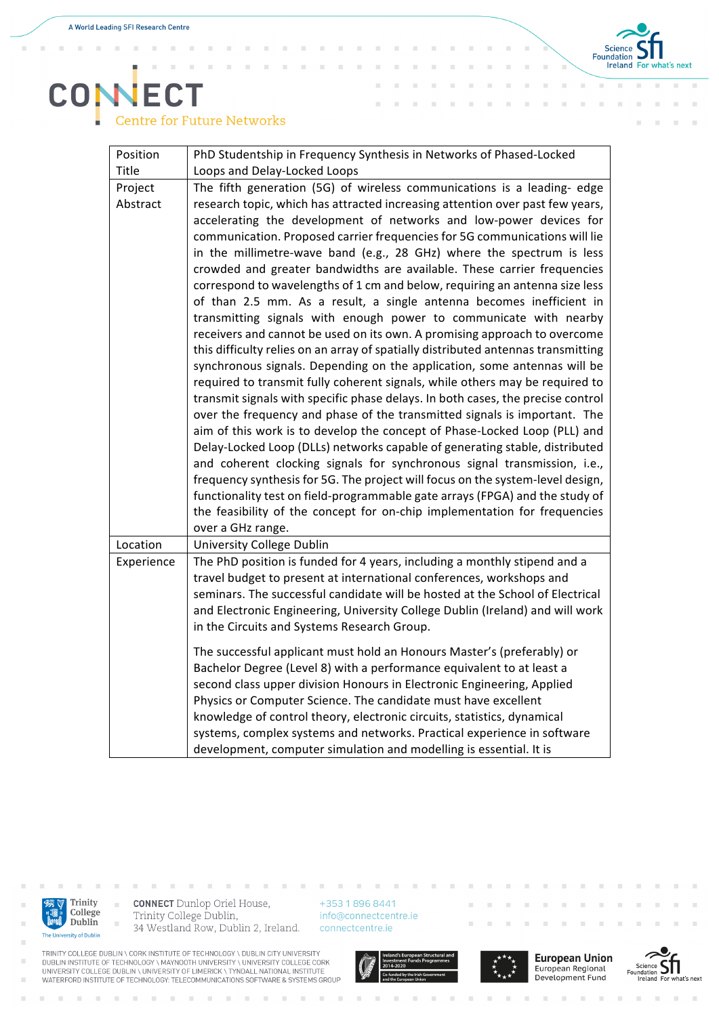×  $\bar{a}$  $\bar{a}$ × ×



 $\bar{a}$ ×

## **COMECT Centre for Future Networks**

| Position   | PhD Studentship in Frequency Synthesis in Networks of Phased-Locked               |
|------------|-----------------------------------------------------------------------------------|
| Title      | Loops and Delay-Locked Loops                                                      |
| Project    | The fifth generation (5G) of wireless communications is a leading- edge           |
| Abstract   | research topic, which has attracted increasing attention over past few years,     |
|            | accelerating the development of networks and low-power devices for                |
|            | communication. Proposed carrier frequencies for 5G communications will lie        |
|            | in the millimetre-wave band (e.g., 28 GHz) where the spectrum is less             |
|            | crowded and greater bandwidths are available. These carrier frequencies           |
|            | correspond to wavelengths of 1 cm and below, requiring an antenna size less       |
|            | of than 2.5 mm. As a result, a single antenna becomes inefficient in              |
|            | transmitting signals with enough power to communicate with nearby                 |
|            | receivers and cannot be used on its own. A promising approach to overcome         |
|            | this difficulty relies on an array of spatially distributed antennas transmitting |
|            | synchronous signals. Depending on the application, some antennas will be          |
|            | required to transmit fully coherent signals, while others may be required to      |
|            | transmit signals with specific phase delays. In both cases, the precise control   |
|            | over the frequency and phase of the transmitted signals is important. The         |
|            | aim of this work is to develop the concept of Phase-Locked Loop (PLL) and         |
|            | Delay-Locked Loop (DLLs) networks capable of generating stable, distributed       |
|            | and coherent clocking signals for synchronous signal transmission, i.e.,          |
|            | frequency synthesis for 5G. The project will focus on the system-level design,    |
|            | functionality test on field-programmable gate arrays (FPGA) and the study of      |
|            | the feasibility of the concept for on-chip implementation for frequencies         |
|            | over a GHz range.                                                                 |
| Location   | University College Dublin                                                         |
| Experience | The PhD position is funded for 4 years, including a monthly stipend and a         |
|            | travel budget to present at international conferences, workshops and              |
|            | seminars. The successful candidate will be hosted at the School of Electrical     |
|            | and Electronic Engineering, University College Dublin (Ireland) and will work     |
|            | in the Circuits and Systems Research Group.                                       |
|            | The successful applicant must hold an Honours Master's (preferably) or            |
|            | Bachelor Degree (Level 8) with a performance equivalent to at least a             |
|            | second class upper division Honours in Electronic Engineering, Applied            |
|            | Physics or Computer Science. The candidate must have excellent                    |
|            | knowledge of control theory, electronic circuits, statistics, dynamical           |
|            | systems, complex systems and networks. Practical experience in software           |
|            | development, computer simulation and modelling is essential. It is                |



×

×

i.

 $\sim$ 

**CONNECT** Dunlop Oriel House, Trinity College Dublin, 34 Westland Row, Dublin 2, Ireland. +353 1 896 8441 info@connectcentre.ie connectcentre.ie





**European Union** European Regional Development Fund



TRINITY COLLEGE DUBLIN \ CORK INSTITUTE OF TECHNOLOGY \ DUBLIN CITY UNIVERSITY<br>DUBLIN INSTITUTE OF TECHNOLOGY \ MAYNOOTH UNIVERSITY \ UNIVERSITY COLLEGE CORK<br>UNIVERSITY COLLEGE DUBLIN \ UNIVERSITY OF LIMERICK \ TYNDALL NAT